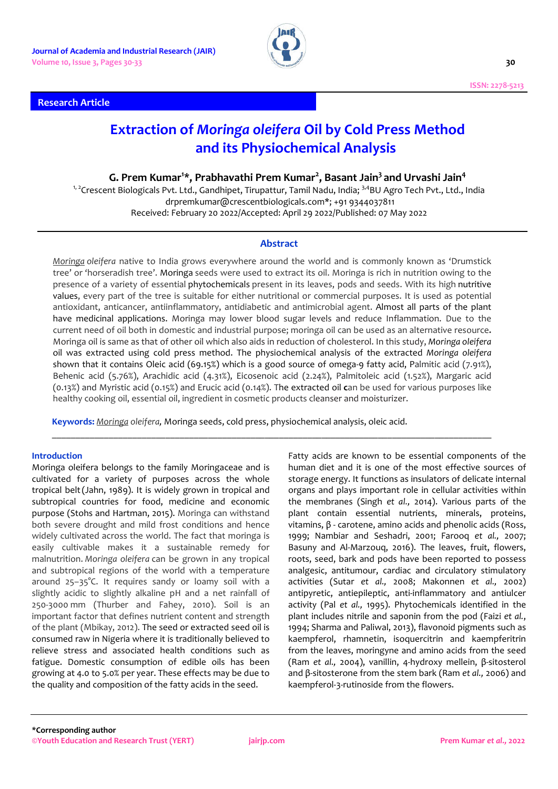**Research Article**



# **Extraction of** *Moringa oleifera* **Oil by Cold Press Method and its Physiochemical Analysis**

**G. Prem Kumar<sup>1</sup> \*, Prabhavathi Prem Kumar<sup>2</sup> , Basant Jain3 and Urvashi Jain4**

<sup>1, 2</sup>Crescent Biologicals Pvt. Ltd., Gandhipet, Tirupattur, Tamil Nadu, India; <sup>3,4</sup>BU Agro Tech Pvt., Ltd., India drpremkumar@crescentbiologicals.com\*; +91 9344037811 Received: February 20 2022/Accepted: April 29 2022/Published: 07 May 2022

# **Abstract**

*Moringa oleifera* native to India grows everywhere around the world and is commonly known as 'Drumstick tree' or 'horseradish tree'. Moringa seeds were used to extract its oil. Moringa is rich in nutrition owing to the presence of a variety of essential phytochemicals present in its leaves, pods and seeds. With its high nutritive values, every part of the tree is suitable for either nutritional or commercial purposes. It is used as potential antioxidant, anticancer, antiinflammatory, antidiabetic and antimicrobial agent. Almost all parts of the plant have medicinal applications. Moringa may lower blood sugar levels and reduce Inflammation. Due to the current need of oil both in domestic and industrial purpose; moringa oil can be used as an alternative resource**.** Moringa oil is same as that of other oil which also aids in reduction of cholesterol. In this study, *Moringa oleifera* oil was extracted using cold press method. The physiochemical analysis of the extracted *Moringa oleifera* shown that it contains Oleic acid (69.15%) which is a good source of omega-9 fatty acid, Palmitic acid (7.91%), Behenic acid (5.76%), Arachidic acid (4.31%), Eicosenoic acid (2.24%), Palmitoleic acid (1.52%), Margaric acid (0.13%) and Myristic acid (0.15%) and Erucic acid (0.14%). The extracted oil **c**an be used for various purposes like healthy cooking oil, essential oil, ingredient in cosmetic products cleanser and moisturizer.

\_\_\_\_\_\_\_\_\_\_\_\_\_\_\_\_\_\_\_\_\_\_\_\_\_\_\_\_\_\_\_\_\_\_\_\_\_\_\_\_\_\_\_\_\_\_\_\_\_\_\_\_\_\_\_\_\_\_\_\_\_\_\_\_\_\_\_\_\_\_\_\_\_\_\_\_\_\_\_\_\_\_\_\_\_\_\_\_\_\_\_\_\_

**Keywords:** *Moringa oleifera,* Moringa seeds, cold press, physiochemical analysis, oleic acid.

### **Introduction**

Moringa oleifera belongs to the family Moringaceae and is cultivated for a variety of purposes across the whole tropical belt(Jahn, 1989). It is widely grown in tropical and subtropical countries for food, medicine and economic purpose (Stohs and Hartman, 2015). Moringa can withstand both severe drought and mild frost conditions and hence widely cultivated across the world. The fact that moringa is easily cultivable makes it a sustainable remedy for malnutrition. *Moringa oleifera* can be grown in any tropical and subtropical regions of the world with a temperature around 25–35°C. It requires sandy or loamy soil with a slightly acidic to slightly alkaline pH and a net rainfall of 250-3000 mm (Thurber and Fahey, 2010). Soil is an important factor that defines nutrient content and strength of the plant (Mbikay, 2012). The seed or extracted seed oil is consumed raw in Nigeria where it is traditionally believed to relieve stress and associated health conditions such as fatigue. Domestic consumption of edible oils has been growing at 4.0 to 5.0% per year. These effects may be due to the quality and composition of the fatty acids in the seed.

Fatty acids are known to be essential components of the human diet and it is one of the most effective sources of storage energy. It functions as insulators of delicate internal organs and plays important role in cellular activities within the membranes (Singh *et al.,* 2014). Various parts of the plant contain essential nutrients, minerals, proteins, vitamins, β - carotene, amino acids and phenolic acids (Ross, 1999; Nambiar and Seshadri, 2001; Farooq *et al.,* 2007; Basuny and Al-Marzouq, 2016). The leaves, fruit, flowers, roots, seed, bark and pods have been reported to possess analgesic, antitumour, cardiac and circulatory stimulatory activities (Sutar *et al.,* 2008; Makonnen *et al.,* 2002) antipyretic, antiepileptic, anti-inflammatory and antiulcer activity (Pal *et al.,* 1995). Phytochemicals identified in the plant includes nitrile and saponin from the pod (Faizi *et al.*, 1994; Sharma and Paliwal, 2013), flavonoid pigments such as kaempferol, rhamnetin, isoquercitrin and kaempferitrin from the leaves, moringyne and amino acids from the seed (Ram *et al.,* 2004), vanillin, 4-hydroxy mellein, β-sitosterol and β-sitosterone from the stem bark (Ram *et al.,* 2006) and kaempferol-3-rutinoside from the flowers.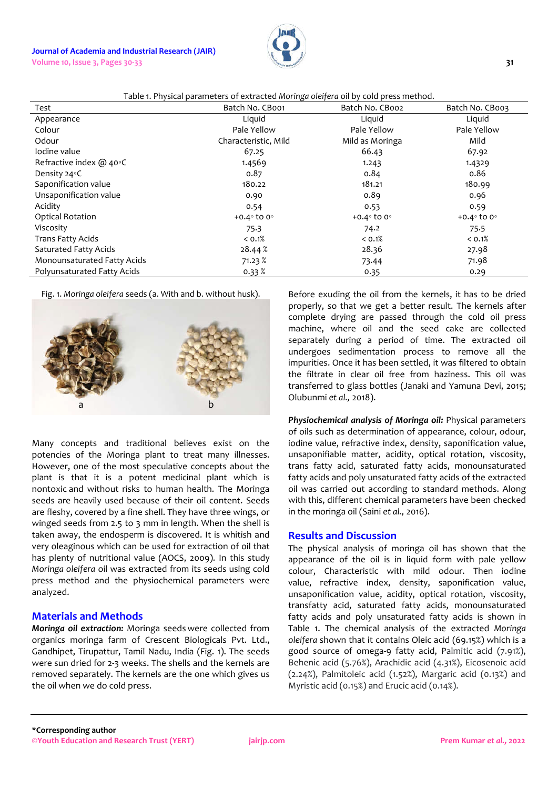### **Journal of Academia and Industrial Research (JAIR) Volume 10, Issue 3, Pages 30-33 31**



| Table 1. Physical parameters of extracted Moringa oleifera oil by cold press method. |  |
|--------------------------------------------------------------------------------------|--|
|                                                                                      |  |

| Test                         | Table in hysical parameters or extracted morniga olerfera on by cold press method.<br>Batch No. CB001 | Batch No. CBoo2            | Batch No. CB003            |
|------------------------------|-------------------------------------------------------------------------------------------------------|----------------------------|----------------------------|
| Appearance                   | Liquid                                                                                                | Liquid                     | Liquid                     |
| Colour                       | Pale Yellow                                                                                           | Pale Yellow                | Pale Yellow                |
| Odour                        | Characteristic, Mild                                                                                  | Mild as Moringa            | Mild                       |
| Iodine value                 | 67.25                                                                                                 | 66.43                      | 67.92                      |
| Refractive index $@$ 40 $°C$ | 1.4569                                                                                                | 1.243                      | 1.4329                     |
| Density 24 $\circ$ C         | 0.87                                                                                                  | 0.84                       | 0.86                       |
| Saponification value         | 180.22                                                                                                | 181.21                     | 180.99                     |
| Unsaponification value       | 0.90                                                                                                  | 0.89                       | 0.96                       |
| Acidity                      | 0.54                                                                                                  | 0.53                       | 0.59                       |
| <b>Optical Rotation</b>      | $+0.4^\circ$ to 0 $^\circ$                                                                            | $+0.4^\circ$ to 0 $^\circ$ | $+0.4^\circ$ to 0 $^\circ$ |
| Viscosity                    | 75.3                                                                                                  | 74.2                       | 75.5                       |
| Trans Fatty Acids            | < 0.1%                                                                                                | < 0.1%                     | < 0.1%                     |
| Saturated Fatty Acids        | 28.44 %                                                                                               | 28.36                      | 27.98                      |
| Monounsaturated Fatty Acids  | 71.23%                                                                                                | 73.44                      | 71.98                      |
| Polyunsaturated Fatty Acids  | 0.33%                                                                                                 | 0.35                       | 0.29                       |

Fig. 1. *Moringa oleifera* seeds (a. With and b. without husk).



Many concepts and traditional believes exist on the potencies of the Moringa plant to treat many illnesses. However, one of the most speculative concepts about the plant is that it is a potent medicinal plant which is nontoxic and without risks to human health. The Moringa seeds are heavily used because of their oil content. Seeds are fleshy, covered by a fine shell. They have three wings, or winged seeds from 2.5 to 3 mm in length. When the shell is taken away, the endosperm is discovered. It is whitish and very oleaginous which can be used for extraction of oil that has plenty of nutritional value (AOCS, 2009). In this study *Moringa oleifera* oil was extracted from its seeds using cold press method and the physiochemical parameters were analyzed.

# **Materials and Methods**

*Moringa oil extraction:* Moringa seeds were collected from organics moringa farm of Crescent Biologicals Pvt. Ltd., Gandhipet, Tirupattur, Tamil Nadu, India (Fig. 1). The seeds were sun dried for 2-3 weeks. The shells and the kernels are removed separately. The kernels are the one which gives us the oil when we do cold press.

Before exuding the oil from the kernels, it has to be dried properly, so that we get a better result. The kernels after complete drying are passed through the cold oil press machine, where oil and the seed cake are collected separately during a period of time. The extracted oil undergoes sedimentation process to remove all the impurities. Once it has been settled, it was filtered to obtain the filtrate in clear oil free from haziness. This oil was transferred to glass bottles (Janaki and Yamuna Devi, 2015; Olubunmi *et al.,* 2018).

*Physiochemical analysis of Moringa oil:* Physical parameters of oils such as determination of appearance, colour, odour, iodine value, refractive index, density, saponification value, unsaponifiable matter, acidity, optical rotation, viscosity, trans fatty acid, saturated fatty acids, monounsaturated fatty acids and poly unsaturated fatty acids of the extracted oil was carried out according to standard methods. Along with this, different chemical parameters have been checked in the moringa oil (Saini *et al.,* 2016).

### **Results and Discussion**

The physical analysis of moringa oil has shown that the appearance of the oil is in liquid form with pale yellow colour, Characteristic with mild odour. Then iodine value, refractive index, density, saponification value, unsaponification value, acidity, optical rotation, viscosity, transfatty acid, saturated fatty acids, monounsaturated fatty acids and poly unsaturated fatty acids is shown in Table 1. The chemical analysis of the extracted *Moringa oleifera* shown that it contains Oleic acid (69.15%) which is a good source of omega-9 fatty acid, Palmitic acid (7.91%), Behenic acid (5.76%), Arachidic acid (4.31%), Eicosenoic acid (2.24%), Palmitoleic acid (1.52%), Margaric acid (0.13%) and Myristic acid (0.15%) and Erucic acid (0.14%).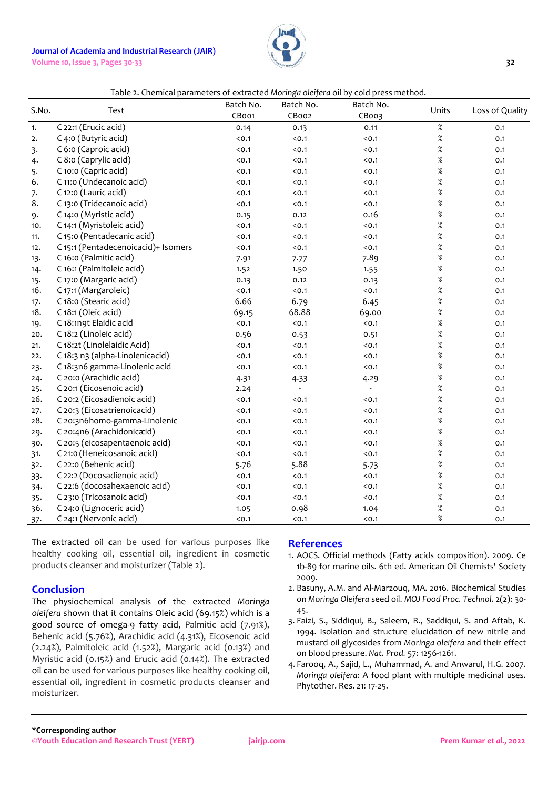# **Journal of Academia and Industrial Research (JAIR)**

**Volume 10, Issue 3, Pages 30-33 32**



### Table 2. Chemical parameters of extracted *Moringa oleifera* oil by cold press method.

| S.No. | Test                                | Batch No.<br>CBoo1 | Batch No.<br>CBoo2 | Batch No.<br>CBoo3       | Units | Loss of Quality |
|-------|-------------------------------------|--------------------|--------------------|--------------------------|-------|-----------------|
| 1.    | C 22:1 (Erucic acid)                | 0.14               | 0.13               | 0.11                     | $\%$  | 0.1             |
| 2.    | C 4:0 (Butyric acid)                | < 0.1              | $0.1$              | < 0.1                    | $\%$  | 0.1             |
| 3.    | C 6:0 (Caproic acid)                | < 0.1              | < 0.1              | < 0.1                    | $\%$  | 0.1             |
| 4.    | C 8:0 (Caprylic acid)               | < 0.1              | < 0.1              | < 0.1                    | $\%$  | 0.1             |
| 5.    | C 10:0 (Capric acid)                | < 0.1              | $0.1$              | $0.1$                    | $\%$  | 0.1             |
| 6.    | C 11:0 (Undecanoic acid)            | < 0.1              | < 0.1              | < 0.1                    | %     | 0.1             |
| 7.    | C 12:0 (Lauric acid)                | < 0.1              | < 0.1              | < 0.1                    | $\%$  | 0.1             |
| 8.    | C 13:0 (Tridecanoic acid)           | < 0.1              | < 0.1              | < 0.1                    | $\%$  | 0.1             |
| 9.    | C 14:0 (Myristic acid)              | 0.15               | 0.12               | 0.16                     | $\%$  | 0.1             |
| 10.   | C 14:1 (Myristoleic acid)           | < 0.1              | $0.1$              | < 0.1                    | $\%$  | 0.1             |
| 11.   | C 15:0 (Pentadecanic acid)          | < 0.1              | < 0.1              | < 0.1                    | $\%$  | 0.1             |
| 12.   | C 15:1 (Pentadecenoicacid)+ Isomers | < 0.1              | < 0.1              | < 0.1                    | $\%$  | 0.1             |
| 13.   | C 16:0 (Palmitic acid)              | 7.91               | 7.77               | 7.89                     | $\%$  | 0.1             |
| 14.   | C 16:1 (Palmitoleic acid)           | 1.52               | 1.50               | 1.55                     | $\%$  | 0.1             |
| 15.   | C 17:0 (Margaric acid)              | 0.13               | 0.12               | 0.13                     | $\%$  | 0.1             |
| 16.   | C 17:1 (Margaroleic)                | < 0.1              | $0.1$              | < 0.1                    | $\%$  | 0.1             |
| 17.   | C 18:0 (Stearic acid)               | 6.66               | 6.79               | 6.45                     | $\%$  | 0.1             |
| 18.   | C 18:1 (Oleic acid)                 | 69.15              | 68.88              | 69.00                    | $\%$  | 0.1             |
| 19.   | C 18:1n9t Elaidic acid              | < 0.1              | < 0.1              | < 0.1                    | $\%$  | 0.1             |
| 20.   | C 18:2 (Linoleic acid)              | 0.56               | 0.53               | 0.51                     | $\%$  | 0.1             |
| 21.   | C 18:2t (Linolelaidic Acid)         | < 0.1              | < 0.1              | < 0.1                    | $\%$  | 0.1             |
| 22.   | C 18:3 n3 (alpha-Linolenicacid)     | < 0.1              | < 0.1              | < 0.1                    | $\%$  | 0.1             |
| 23.   | C 18:3n6 gamma-Linolenic acid       | < 0.1              | < 0.1              | < 0.1                    | $\%$  | 0.1             |
| 24.   | C 20:0 (Arachidic acid)             | 4.31               | 4.33               | 4.29                     | $\%$  | 0.1             |
| 25.   | C 20:1 (Eicosenoic acid)            | 2.24               |                    | $\overline{\phantom{a}}$ | $\%$  | 0.1             |
| 26.   | C 20:2 (Eicosadienoic acid)         | < 0.1              | < 0.1              | < 0.1                    | $\%$  | 0.1             |
| 27.   | C 20:3 (Eicosatrienoicacid)         | < 0.1              | < 0.1              | < 0.1                    | $\%$  | 0.1             |
| 28.   | C 20:3n6homo-gamma-Linolenic        | $0.1$              | $0.1$              | < 0.1                    | $\%$  | 0.1             |
| 29.   | C 20:4n6 (Arachidonicacid)          | < 0.1              | < 0.1              | < 0.1                    | $\%$  | 0.1             |
| 30.   | C 20:5 (eicosapentaenoic acid)      | $0.1$              | $0.1$              | < 0.1                    | $\%$  | 0.1             |
| 31.   | C 21:0 (Heneicosanoic acid)         | < 0.1              | < 0.1              | < 0.1                    | $\%$  | 0.1             |
| 32.   | C 22:0 (Behenic acid)               | 5.76               | 5.88               | 5.73                     | $\%$  | 0.1             |
| 33.   | C 22:2 (Docosadienoic acid)         | < 0.1              | < 0.1              | < 0.1                    | $\%$  | 0.1             |
| 34.   | C 22:6 (docosahexaenoic acid)       | < 0.1              | < 0.1              | < 0.1                    | $\%$  | 0.1             |
| 35.   | C 23:0 (Tricosanoic acid)           | < 0.1              | < 0.1              | < 0.1                    | $\%$  | 0.1             |
| 36.   | C 24:0 (Lignoceric acid)            | 1.05               | 0.98               | 1.04                     | $\%$  | 0.1             |
| 37.   | C 24:1 (Nervonic acid)              | < 0.1              | < 0.1              | < 0.1                    | $\%$  | 0.1             |

The extracted oil **c**an be used for various purposes like healthy cooking oil, essential oil, ingredient in cosmetic products cleanser and moisturizer (Table 2).

# **Conclusion**

The physiochemical analysis of the extracted *Moringa oleifera* shown that it contains Oleic acid (69.15%) which is a good source of omega-9 fatty acid, Palmitic acid (7.91%), Behenic acid (5.76%), Arachidic acid (4.31%), Eicosenoic acid (2.24%), Palmitoleic acid (1.52%), Margaric acid (0.13%) and Myristic acid (0.15%) and Erucic acid (0.14%). The extracted oil **c**an be used for various purposes like healthy cooking oil, essential oil, ingredient in cosmetic products cleanser and moisturizer.

### **References**

- 1. AOCS. Official methods (Fatty acids composition). 2009. Ce 1b-89 for marine oils. 6th ed. American Oil Chemists' Society 2009.
- 2. Basuny, A.M. and Al-Marzouq, MA. 2016. Biochemical Studies on *Moringa Oleifera* seed oil. *MOJ Food Proc. Technol.* 2(2): 30- 45.
- 3. Faizi, S., Siddiqui, B., Saleem, R., Saddiqui, S. and Aftab, K. 1994. Isolation and structure elucidation of new nitrile and mustard oil glycosides from *Moringa oleifera* and their effect on blood pressure. *Nat. Prod.* 57: 1256-1261.
- 4. Farooq, A., Sajid, L., Muhammad, A. and Anwarul, H.G. 2007. *Moringa oleifera:* A food plant with multiple medicinal uses. Phytother. Res. 21: 17-25.